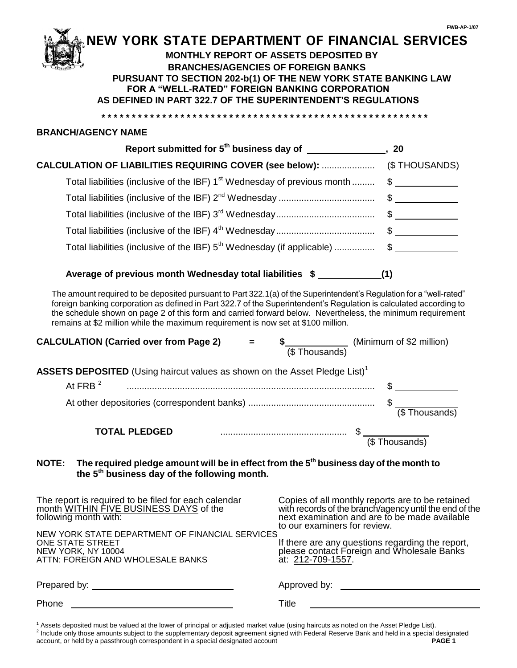# **IEW YORK STATE DEPARTMENT OF FINANCIAL SERVICES**

### **MONTHLY REPORT OF ASSETS DEPOSITED BY BRANCHES/AGENCIES OF FOREIGN BANKS PURSUANT TO SECTION 202-b(1) OF THE NEW YORK STATE BANKING LAW FOR A "WELL-RATED" FOREIGN BANKING CORPORATION AS DEFINED IN PART 322.7 OF THE SUPERINTENDENT'S REGULATIONS**

**\* \* \* \* \* \* \* \* \* \* \* \* \* \* \* \* \* \* \* \* \* \* \* \* \* \* \* \* \* \* \* \* \* \* \* \* \* \* \* \* \* \* \* \* \* \* \* \* \* \* \* \* \* \***

#### **BRANCH/AGENCY NAME**

l

| Report submitted for 5 <sup>th</sup> business day of ____________                        | 20 |
|------------------------------------------------------------------------------------------|----|
|                                                                                          |    |
| Total liabilities (inclusive of the IBF) 1 <sup>st</sup> Wednesday of previous month  \$ |    |
|                                                                                          |    |
|                                                                                          |    |
|                                                                                          |    |
|                                                                                          |    |
|                                                                                          |    |

### **Average of previous month Wednesday total liabilities \$ (1)**

The amount required to be deposited pursuant to Part 322.1(a) of the Superintendent's Regulation for a "well-rated" foreign banking corporation as defined in Part 322.7 of the Superintendent's Regulation is calculated according to the schedule shown on page 2 of this form and carried forward below. Nevertheless, the minimum requirement remains at \$2 million while the maximum requirement is now set at \$100 million.

| <b>CALCULATION (Carried over from Page 2)</b>                                          | (\$Thousands) | (Minimum of \$2 million) |
|----------------------------------------------------------------------------------------|---------------|--------------------------|
| ASSETS DEPOSITED (Using haircut values as shown on the Asset Pledge List) <sup>1</sup> |               |                          |
| At FRB $2$                                                                             |               |                          |
|                                                                                        |               | (\$Thousands)            |
| <b>TOTAL PLEDGED</b>                                                                   |               | (\$Thousands)            |

### **NOTE: The required pledge amount will be in effect from the 5th business day of the month to the 5th business day of the following month.**

| The report is required to be filed for each calendar<br>month WITHIN FIVE BUSINESS DAYS of the<br>following month with:                                                                                                        | Copies of all monthly reports are to be retained<br>with records of the branch/agency until the end of the<br>next examination and are to be made available<br>to our examiners for review. |
|--------------------------------------------------------------------------------------------------------------------------------------------------------------------------------------------------------------------------------|---------------------------------------------------------------------------------------------------------------------------------------------------------------------------------------------|
| NEW YORK STATE DEPARTMENT OF FINANCIAL SERVICES<br>ONE STATE STREET<br>NEW YORK, NY 10004<br>ATTN: FOREIGN AND WHOLESALE BANKS                                                                                                 | If there are any questions regarding the report,<br>please contact Foreign and Wholesale Banks<br>at: 212-709-1557.                                                                         |
| Prepared by: The contract of the contract of the contract of the contract of the contract of the contract of the contract of the contract of the contract of the contract of the contract of the contract of the contract of t | Approved by:                                                                                                                                                                                |
| Phone                                                                                                                                                                                                                          | Title                                                                                                                                                                                       |

<sup>1</sup> Assets deposited must be valued at the lower of principal or adjusted market value (using haircuts as noted on the Asset Pledge List).

<sup>&</sup>lt;sup>2</sup> Include only those amounts subject to the supplementary deposit agreement signed with Federal Reserve Bank and held in a special designated account, or held by a passthrough correspondent in a special designated account **PAGE 1**